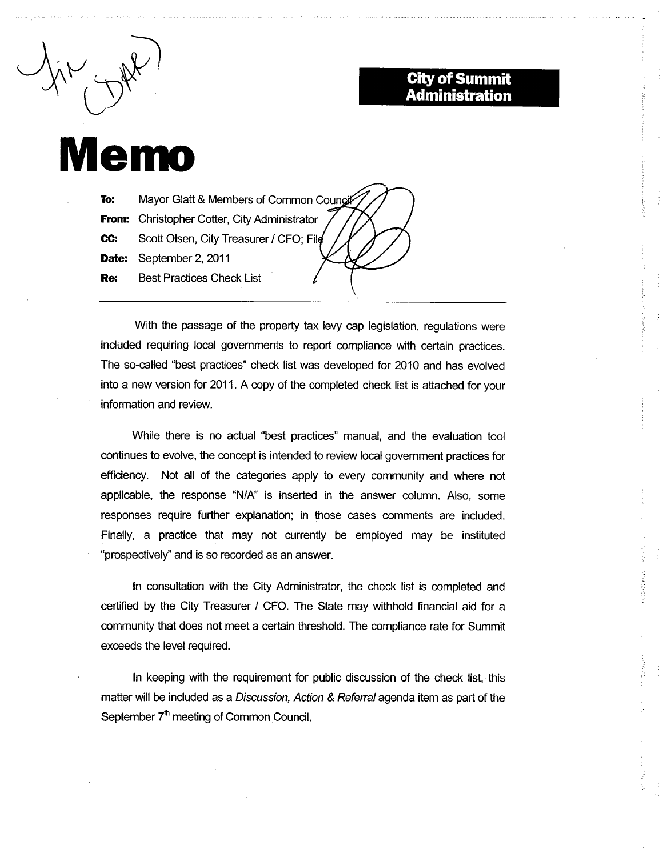## **City of Summit Administration**

**SPEED COVE** 

## **Memo**

Mayor Glatt & Members of Common Coungil To: **From:** Christopher Cotter, City Administrator CC: Scott Olsen, City Treasurer / CFO; File Date: September 2, 2011 **Best Practices Check List** Re:

With the passage of the property tax levy cap legislation, regulations were included requiring local governments to report compliance with certain practices. The so-called "best practices" check list was developed for 2010 and has evolved into a new version for 2011. A copy of the completed check list is attached for your information and review.

While there is no actual "best practices" manual, and the evaluation tool continues to evolve, the concept is intended to review local government practices for efficiency. Not all of the categories apply to every community and where not applicable, the response "N/A" is inserted in the answer column. Also, some responses require further explanation; in those cases comments are included. Finally, a practice that may not currently be employed may be instituted "prospectively" and is so recorded as an answer.

In consultation with the City Administrator, the check list is completed and certified by the City Treasurer / CFO. The State may withhold financial aid for a community that does not meet a certain threshold. The compliance rate for Summit exceeds the level required.

In keeping with the requirement for public discussion of the check list, this matter will be included as a Discussion, Action & Referral agenda item as part of the September 7<sup>th</sup> meeting of Common Council.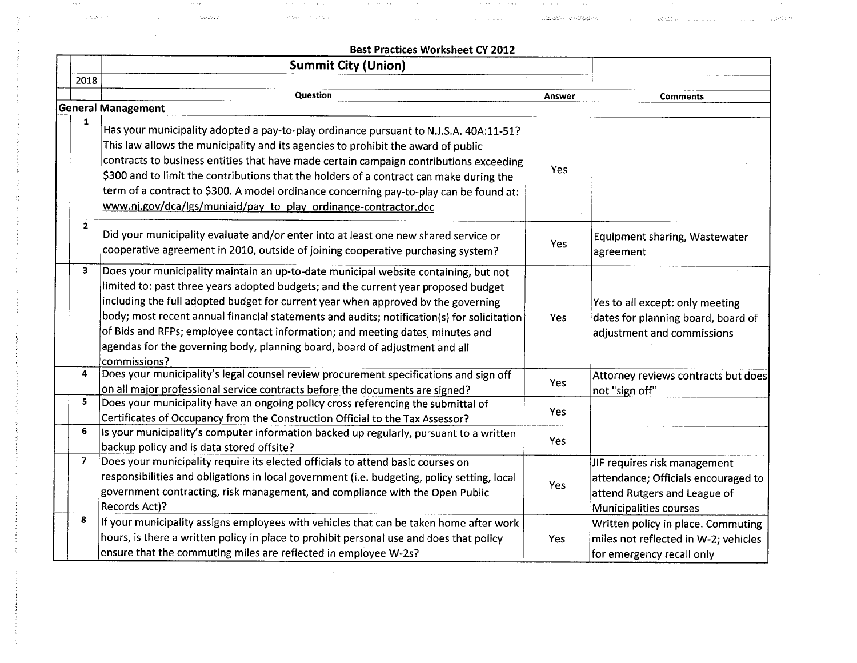. The contract of the contract of the contract of the contract of the contract of the contract of the contract of  $\alpha$ 

 $\mathcal{L}=\mathcal{L}(\mathcal{L}^{\mathcal{L}})$ 

countered in the

 $\sim 100$ 

 $\mathcal{O}(\mathcal{O}(\log n)$ 

 $\gamma = 0.23322227$ 

|                | <b>Summit City (Union)</b>                                                                                                                                                                                                                                                                                                                                                                                                                                                                                                                    |        |                                                                                                                               |
|----------------|-----------------------------------------------------------------------------------------------------------------------------------------------------------------------------------------------------------------------------------------------------------------------------------------------------------------------------------------------------------------------------------------------------------------------------------------------------------------------------------------------------------------------------------------------|--------|-------------------------------------------------------------------------------------------------------------------------------|
| 2018           |                                                                                                                                                                                                                                                                                                                                                                                                                                                                                                                                               |        |                                                                                                                               |
|                | Question                                                                                                                                                                                                                                                                                                                                                                                                                                                                                                                                      | Answer | <b>Comments</b>                                                                                                               |
|                | <b>General Management</b>                                                                                                                                                                                                                                                                                                                                                                                                                                                                                                                     |        |                                                                                                                               |
| $\mathbf{1}$   | Has your municipality adopted a pay-to-play ordinance pursuant to N.J.S.A. 40A:11-51?<br>This law allows the municipality and its agencies to prohibit the award of public<br>contracts to business entities that have made certain campaign contributions exceeding<br>\$300 and to limit the contributions that the holders of a contract can make during the<br>term of a contract to \$300. A model ordinance concerning pay-to-play can be found at:<br>www.nj.gov/dca/lgs/muniaid/pay_to_play_ordinance-contractor.doc                  | Yes    |                                                                                                                               |
| $\overline{2}$ | Did your municipality evaluate and/or enter into at least one new shared service or<br>cooperative agreement in 2010, outside of joining cooperative purchasing system?                                                                                                                                                                                                                                                                                                                                                                       | Yes    | Equipment sharing, Wastewater<br>agreement                                                                                    |
| 3              | Does your municipality maintain an up-to-date municipal website containing, but not<br>limited to: past three years adopted budgets; and the current year proposed budget<br>including the full adopted budget for current year when approved by the governing<br>body; most recent annual financial statements and audits; notification(s) for solicitation<br>of Bids and RFPs; employee contact information; and meeting dates, minutes and<br>agendas for the governing body, planning board, board of adjustment and all<br>commissions? | Yes    | Yes to all except: only meeting<br>dates for planning board, board of<br>adjustment and commissions                           |
| 4              | Does your municipality's legal counsel review procurement specifications and sign off<br>on all major professional service contracts before the documents are signed?                                                                                                                                                                                                                                                                                                                                                                         | Yes    | Attorney reviews contracts but does<br>not "sign off"                                                                         |
| 5              | Does your municipality have an ongoing policy cross referencing the submittal of<br>Certificates of Occupancy from the Construction Official to the Tax Assessor?                                                                                                                                                                                                                                                                                                                                                                             | Yes    |                                                                                                                               |
| 6              | Is your municipality's computer information backed up regularly, pursuant to a written<br>backup policy and is data stored offsite?                                                                                                                                                                                                                                                                                                                                                                                                           | Yes    |                                                                                                                               |
| 7              | Does your municipality require its elected officials to attend basic courses on<br>responsibilities and obligations in local government (i.e. budgeting, policy setting, local<br>government contracting, risk management, and compliance with the Open Public<br>Records Act)?                                                                                                                                                                                                                                                               | Yes    | JIF requires risk management<br>attendance; Officials encouraged to<br>attend Rutgers and League of<br>Municipalities courses |
| 8              | If your municipality assigns employees with vehicles that can be taken home after work<br>hours, is there a written policy in place to prohibit personal use and does that policy<br>ensure that the commuting miles are reflected in employee W-2s?                                                                                                                                                                                                                                                                                          | Yes    | Written policy in place. Commuting<br>miles not reflected in W-2; vehicles<br>for emergency recall only                       |

 $\sim$ 

 $\sim$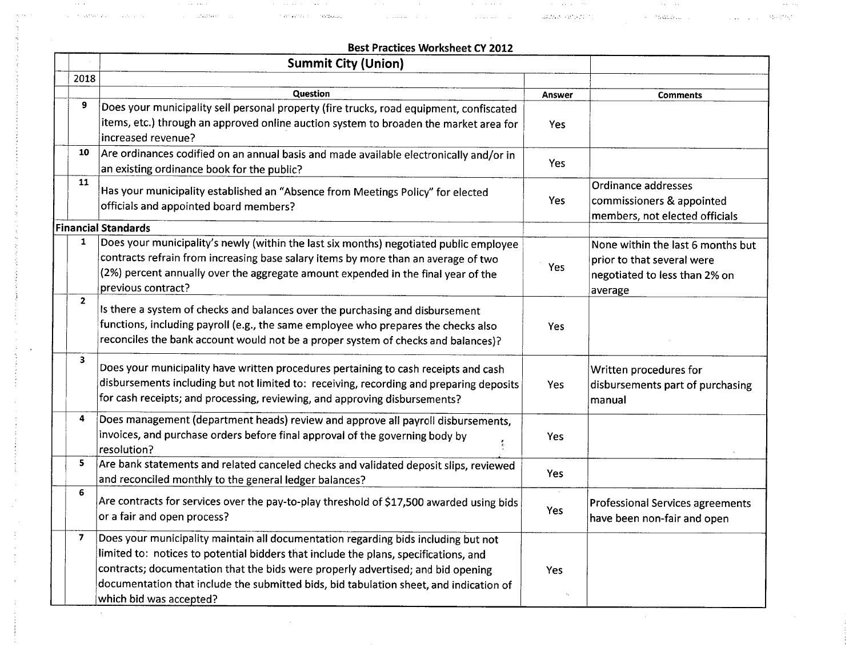$\mathcal{L}_{\mathcal{A}}$  is a sequence of the sequence of the sequence of the sequence of the sequence of the sequence of the sequence of the sequence of the sequence of the sequence of the sequence of the sequence of the sequence

المناطق المساوية المناطق المساوية المناطق المناطق المناطق المساوية المساوية المناطق المساوية المناطق المناطق المساوي

'., .

 $\sim$ 

|                | <b>Summit City (Union)</b>                                                               |            |                                         |
|----------------|------------------------------------------------------------------------------------------|------------|-----------------------------------------|
| 2018           |                                                                                          |            |                                         |
|                | Question                                                                                 | Answer     | <b>Comments</b>                         |
| 9              | Does your municipality sell personal property (fire trucks, road equipment, confiscated  |            |                                         |
|                | items, etc.) through an approved online auction system to broaden the market area for    | Yes        |                                         |
|                | increased revenue?                                                                       |            |                                         |
| 10             | Are ordinances codified on an annual basis and made available electronically and/or in   |            |                                         |
|                | an existing ordinance book for the public?                                               | Yes        |                                         |
| 11             | Has your municipality established an "Absence from Meetings Policy" for elected          |            | Ordinance addresses                     |
|                | officials and appointed board members?                                                   | <b>Yes</b> | commissioners & appointed               |
|                |                                                                                          |            | members, not elected officials          |
|                | <b>Financial Standards</b>                                                               |            |                                         |
| $\mathbf{1}$   | Does your municipality's newly (within the last six months) negotiated public employee   |            | None within the last 6 months but       |
|                | contracts refrain from increasing base salary items by more than an average of two       | Yes        | prior to that several were              |
|                | (2%) percent annually over the aggregate amount expended in the final year of the        |            | negotiated to less than 2% on           |
|                | previous contract?                                                                       |            | average                                 |
| $\overline{2}$ | Is there a system of checks and balances over the purchasing and disbursement            |            |                                         |
|                | functions, including payroll (e.g., the same employee who prepares the checks also       | Yes        |                                         |
|                | reconciles the bank account would not be a proper system of checks and balances)?        |            |                                         |
| 3              |                                                                                          |            |                                         |
|                | Does your municipality have written procedures pertaining to cash receipts and cash      |            | Written procedures for                  |
|                | disbursements including but not limited to: receiving, recording and preparing deposits  | Yes        | disbursements part of purchasing        |
|                | for cash receipts; and processing, reviewing, and approving disbursements?               |            | manual                                  |
| 4              | Does management (department heads) review and approve all payroll disbursements,         |            |                                         |
|                | invoices, and purchase orders before final approval of the governing body by             |            |                                         |
|                | resolution?                                                                              | Yes        |                                         |
| 5              | Are bank statements and related canceled checks and validated deposit slips, reviewed    |            |                                         |
|                | and reconciled monthly to the general ledger balances?                                   | Yes        |                                         |
| 6              |                                                                                          |            |                                         |
|                | Are contracts for services over the pay-to-play threshold of \$17,500 awarded using bids | Yes        | <b>Professional Services agreements</b> |
|                | or a fair and open process?                                                              |            | have been non-fair and open             |
| 7              | Does your municipality maintain all documentation regarding bids including but not       |            |                                         |
|                | limited to: notices to potential bidders that include the plans, specifications, and     |            |                                         |
|                | contracts; documentation that the bids were properly advertised; and bid opening         | Yes        |                                         |
|                | documentation that include the submitted bids, bid tabulation sheet, and indication of   |            |                                         |
|                | which bid was accepted?                                                                  |            |                                         |

 $\mathcal{L}_{\text{max}}$  and  $\mathcal{L}_{\text{max}}$  and  $\mathcal{L}_{\text{max}}$  are the space of the space of  $\mathcal{L}_{\text{max}}$ 

 $\mathcal{L}_{\text{max}}$  and  $\mathcal{L}_{\text{max}}$  and  $\mathcal{L}_{\text{max}}$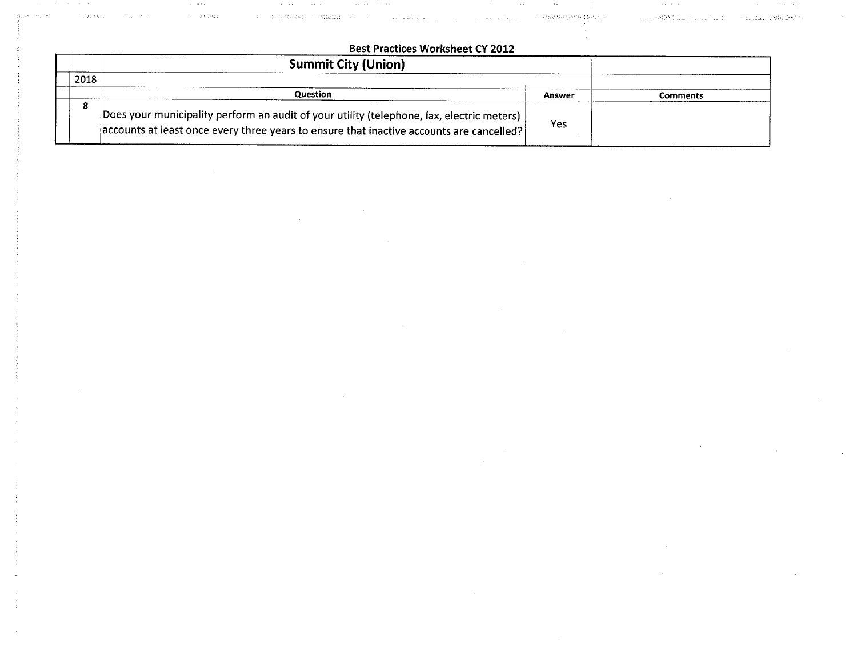## **Best Practices Worksheet CY 2012**

 $\alpha$  -mass means  $\alpha$  , and  $\alpha$  -mass in the set of the set of the set of  $\alpha$  -mass  $\alpha$ 

- Windows - The South of Steam - The Content Line Content of Steam - The Second Content of The Second Line Steam - The Second Steam - The Second Steam - The Second Steam - The Second Steam - The Second Steam - The Second

 $\sim 20\,$  km  $^{-1}$  km  $^{-1}$ 

|      | <b>Summit City (Union)</b>                                                                                                                                                              |        |          |
|------|-----------------------------------------------------------------------------------------------------------------------------------------------------------------------------------------|--------|----------|
| 2018 |                                                                                                                                                                                         |        |          |
|      | Question                                                                                                                                                                                | Answer | Comments |
|      | Does your municipality perform an audit of your utility (telephone, fax, electric meters)  <br>accounts at least once every three years to ensure that inactive accounts are cancelled? | Yes    |          |

 $\tau$  , and  $\tau$ 

 $\Delta\omega$  , and  $\Delta\omega$ 

Liste Dealer

 $\sigma \sim 10^{10}$ 0.45°

 $\mathcal{L}_{\mathcal{A}}$  and  $\mathcal{L}_{\mathcal{A}}$  are the set of the set of the set of  $\mathcal{L}_{\mathcal{A}}$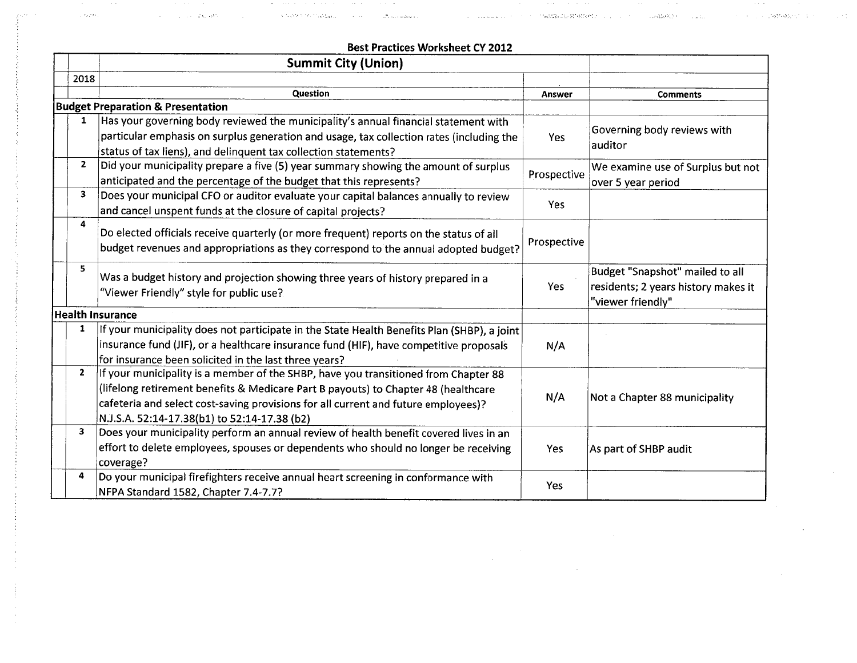, and the contract of the contract of the contract of the contract of the contract of the contract of the contract of the contract of the contract of the contract of the contract of the contract of the contract of the cont

|              | <b>Summit City (Union)</b>                                                                  |             |                                        |
|--------------|---------------------------------------------------------------------------------------------|-------------|----------------------------------------|
| 2018         |                                                                                             |             |                                        |
|              | Question                                                                                    | Answer      | <b>Comments</b>                        |
|              | <b>Budget Preparation &amp; Presentation</b>                                                |             |                                        |
| 1            | Has your governing body reviewed the municipality's annual financial statement with         | Yes         | Governing body reviews with<br>auditor |
|              | particular emphasis on surplus generation and usage, tax collection rates (including the    |             |                                        |
|              | status of tax liens), and delinquent tax collection statements?                             |             |                                        |
| $\mathbf{2}$ | Did your municipality prepare a five (5) year summary showing the amount of surplus         | Prospective | We examine use of Surplus but not      |
|              | anticipated and the percentage of the budget that this represents?                          |             | over 5 year period                     |
| 3            | Does your municipal CFO or auditor evaluate your capital balances annually to review        |             |                                        |
|              | and cancel unspent funds at the closure of capital projects?                                | Yes         |                                        |
| 4            | Do elected officials receive quarterly (or more frequent) reports on the status of all      |             |                                        |
|              | budget revenues and appropriations as they correspond to the annual adopted budget?         | Prospective |                                        |
|              |                                                                                             |             |                                        |
| 5            | Was a budget history and projection showing three years of history prepared in a            |             | Budget "Snapshot" mailed to all        |
|              | "Viewer Friendly" style for public use?                                                     | Yes         | residents; 2 years history makes it    |
|              |                                                                                             |             | "viewer friendly"                      |
|              | <b>Health Insurance</b>                                                                     |             |                                        |
| 1            | If your municipality does not participate in the State Health Benefits Plan (SHBP), a joint |             |                                        |
|              | insurance fund (JIF), or a healthcare insurance fund (HIF), have competitive proposals      | N/A         |                                        |
|              | for insurance been solicited in the last three years?                                       |             |                                        |
| $\mathbf{2}$ | If your municipality is a member of the SHBP, have you transitioned from Chapter 88         |             |                                        |
|              | (lifelong retirement benefits & Medicare Part B payouts) to Chapter 48 (healthcare          |             | Not a Chapter 88 municipality          |
|              | cafeteria and select cost-saving provisions for all current and future employees)?          | N/A         |                                        |
|              | N.J.S.A. 52:14-17.38(b1) to 52:14-17.38 (b2)                                                |             |                                        |
| 3            | Does your municipality perform an annual review of health benefit covered lives in an       |             |                                        |
|              | effort to delete employees, spouses or dependents who should no longer be receiving         | Yes         | As part of SHBP audit                  |
|              | coverage?                                                                                   |             |                                        |
| 4            | Do your municipal firefighters receive annual heart screening in conformance with           |             |                                        |
|              | NFPA Standard 1582, Chapter 7.4-7.7?                                                        | Yes         |                                        |

 $\label{eq:2.1} \frac{1}{\sqrt{2\pi}}\int_{0}^{\infty}\frac{1}{\sqrt{2\pi}}\left(\frac{1}{\sqrt{2\pi}}\right)^{2\alpha} \frac{1}{\sqrt{2\pi}}\left(\frac{1}{\sqrt{2\pi}}\right)^{\alpha} \frac{1}{\sqrt{2\pi}}\left(\frac{1}{\sqrt{2\pi}}\right)^{\alpha} \frac{1}{\sqrt{2\pi}}\left(\frac{1}{\sqrt{2\pi}}\right)^{\alpha} \frac{1}{\sqrt{2\pi}}\left(\frac{1}{\sqrt{2\pi}}\right)^{\alpha} \frac{1}{\sqrt{2\pi}}\left(\frac{1}{\sqrt{2\pi}}\right$ 

 $\sim 10^{11}$ 

 $\sim 100$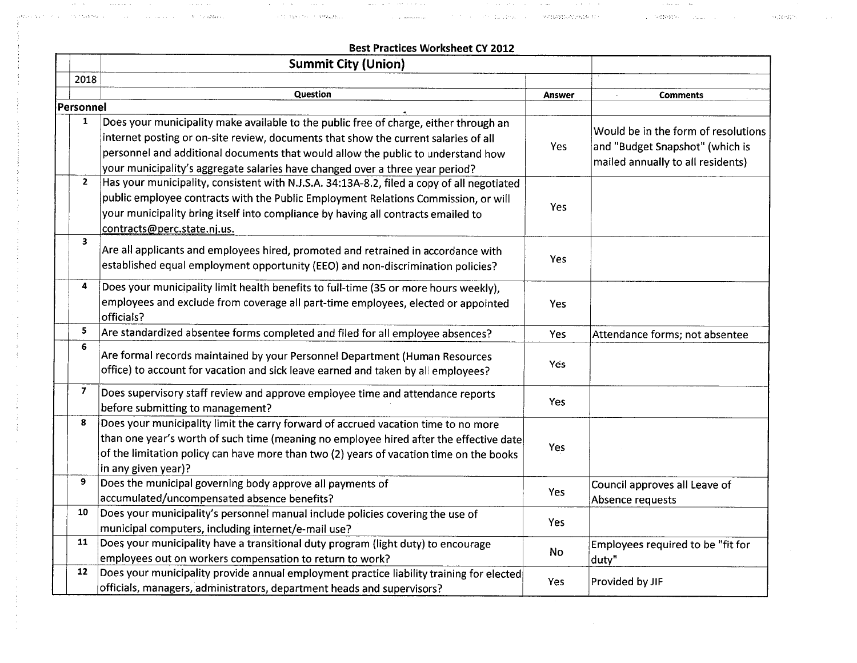|                         | <b>Best Practices Worksheet CY 2012</b>                                                                                                                                                                                                                                                                                                           |            |                                                                                                             |
|-------------------------|---------------------------------------------------------------------------------------------------------------------------------------------------------------------------------------------------------------------------------------------------------------------------------------------------------------------------------------------------|------------|-------------------------------------------------------------------------------------------------------------|
|                         | <b>Summit City (Union)</b>                                                                                                                                                                                                                                                                                                                        |            |                                                                                                             |
| 2018                    |                                                                                                                                                                                                                                                                                                                                                   |            |                                                                                                             |
|                         | Question                                                                                                                                                                                                                                                                                                                                          | Answer     | <b>Comments</b>                                                                                             |
| Personnel               |                                                                                                                                                                                                                                                                                                                                                   |            |                                                                                                             |
| $\mathbf{1}$            | Does your municipality make available to the public free of charge, either through an<br>internet posting or on-site review, documents that show the current salaries of all<br>personnel and additional documents that would allow the public to understand how<br>your municipality's aggregate salaries have changed over a three year period? | Yes        | Would be in the form of resolutions<br>and "Budget Snapshot" (which is<br>mailed annually to all residents) |
| $\mathbf{2}$            | Has your municipality, consistent with N.J.S.A. 34:13A-8.2, filed a copy of all negotiated<br>public employee contracts with the Public Employment Relations Commission, or will<br>your municipality bring itself into compliance by having all contracts emailed to<br>contracts@perc.state.nj.us.                                              | Yes        |                                                                                                             |
| $\overline{\mathbf{3}}$ | Are all applicants and employees hired, promoted and retrained in accordance with<br>established equal employment opportunity (EEO) and non-discrimination policies?                                                                                                                                                                              | Yes        |                                                                                                             |
| 4                       | Does your municipality limit health benefits to full-time (35 or more hours weekly),<br>employees and exclude from coverage all part-time employees, elected or appointed<br>officials?                                                                                                                                                           | Yes        |                                                                                                             |
| 5                       | Are standardized absentee forms completed and filed for all employee absences?                                                                                                                                                                                                                                                                    | Yes        | Attendance forms; not absentee                                                                              |
| 6                       | Are formal records maintained by your Personnel Department (Human Resources<br>office) to account for vacation and sick leave earned and taken by all employees?                                                                                                                                                                                  | Yes.       |                                                                                                             |
| $\overline{\mathbf{z}}$ | Does supervisory staff review and approve employee time and attendance reports<br>before submitting to management?                                                                                                                                                                                                                                | Yes        |                                                                                                             |
| 8                       | Does your municipality limit the carry forward of accrued vacation time to no more<br>than one year's worth of such time (meaning no employee hired after the effective date<br>of the limitation policy can have more than two (2) years of vacation time on the books<br>in any given year)?                                                    | Yes        |                                                                                                             |
| 9                       | Does the municipal governing body approve all payments of<br>accumulated/uncompensated absence benefits?                                                                                                                                                                                                                                          | <b>Yes</b> | Council approves all Leave of<br>Absence requests                                                           |
| 10                      | Does your municipality's personnel manual include policies covering the use of<br>municipal computers, including internet/e-mail use?                                                                                                                                                                                                             | Yes        |                                                                                                             |
| 11                      | Does your municipality have a transitional duty program (light duty) to encourage<br>employees out on workers compensation to return to work?                                                                                                                                                                                                     | No         | Employees required to be "fit for<br>duty"                                                                  |
| 12                      | $ $ Does your municipality provide annual employment practice liability training for elected<br>officials, managers, administrators, department heads and supervisors?                                                                                                                                                                            | Yes        | Provided by JIF                                                                                             |

31

 $\mathcal{A}^{\mathcal{A}}$  $\sim$ 

 $\sim$  $\sim 10^{-1}$ 

.", .. ~. '

ال المستقل التي يتوجه السورية من المستقل المستقل المستقل التي يسمى المناطق المستقل المستقل المستقل المستقل المس<br>المستقل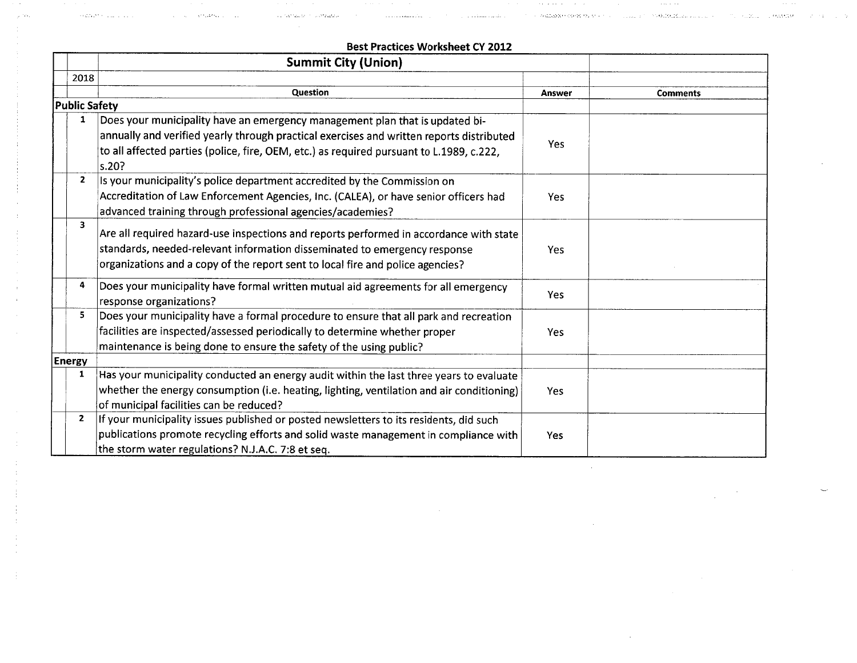|                      | <b>Best Practices Worksheet CY 2012</b>                                                   |            |                 |
|----------------------|-------------------------------------------------------------------------------------------|------------|-----------------|
|                      | <b>Summit City (Union)</b>                                                                |            |                 |
| 2018                 |                                                                                           |            |                 |
|                      | Question                                                                                  | Answer     | <b>Comments</b> |
| <b>Public Safety</b> |                                                                                           |            |                 |
| 1                    | Does your municipality have an emergency management plan that is updated bi-              |            |                 |
|                      | annually and verified yearly through practical exercises and written reports distributed  |            |                 |
|                      | to all affected parties (police, fire, OEM, etc.) as required pursuant to L.1989, c.222,  | Yes        |                 |
|                      | s.20?                                                                                     |            |                 |
| $\mathbf{2}$         | Is your municipality's police department accredited by the Commission on                  |            |                 |
|                      | Accreditation of Law Enforcement Agencies, Inc. (CALEA), or have senior officers had      | <b>Yes</b> |                 |
|                      | advanced training through professional agencies/academies?                                |            |                 |
| 3                    |                                                                                           |            |                 |
|                      | Are all required hazard-use inspections and reports performed in accordance with state    |            |                 |
|                      | standards, needed-relevant information disseminated to emergency response                 | Yes.       |                 |
|                      | organizations and a copy of the report sent to local fire and police agencies?            |            |                 |
| 4                    | Does your municipality have formal written mutual aid agreements for all emergency        |            |                 |
|                      | response organizations?                                                                   | <b>Yes</b> |                 |
| 5                    | Does your municipality have a formal procedure to ensure that all park and recreation     |            |                 |
|                      | facilities are inspected/assessed periodically to determine whether proper                | <b>Yes</b> |                 |
|                      | maintenance is being done to ensure the safety of the using public?                       |            |                 |
| Energy               |                                                                                           |            |                 |
| 1                    | Has your municipality conducted an energy audit within the last three years to evaluate   |            |                 |
|                      | whether the energy consumption (i.e. heating, lighting, ventilation and air conditioning) | Yes        |                 |
|                      | of municipal facilities can be reduced?                                                   |            |                 |
| $\overline{2}$       | If your municipality issues published or posted newsletters to its residents, did such    |            |                 |
|                      | publications promote recycling efforts and solid waste management in compliance with      | Yes        |                 |
|                      | the storm water regulations? N.J.A.C. 7:8 et seq.                                         |            |                 |

 $\sim$  1.1  $\sim$  1.0 and an angle  $\sqrt{s}$  and  $\sim$  1.1  $\sim$ 

 $\{(\partial_\alpha^2 f_\alpha f_\alpha^2)^2\}_{\alpha=1}$  and  $\{f_\alpha^2 f_\alpha^2\}_{\alpha=1}$ 

and the construction of the

.<br>Tale non-talente con a stragatura c

....\...... :..: .:. ";,'.':;'.'

 $\alpha$  and  $\alpha$  ,  $\alpha$ 

 $\alpha\in\mathcal{A}$ 

 $\bar{z}$ 

 $\sim$ 

 $\sim$ 

 $\mathcal{A}$  and  $\mathcal{A}$  and  $\mathcal{A}$  and  $\mathcal{A}$